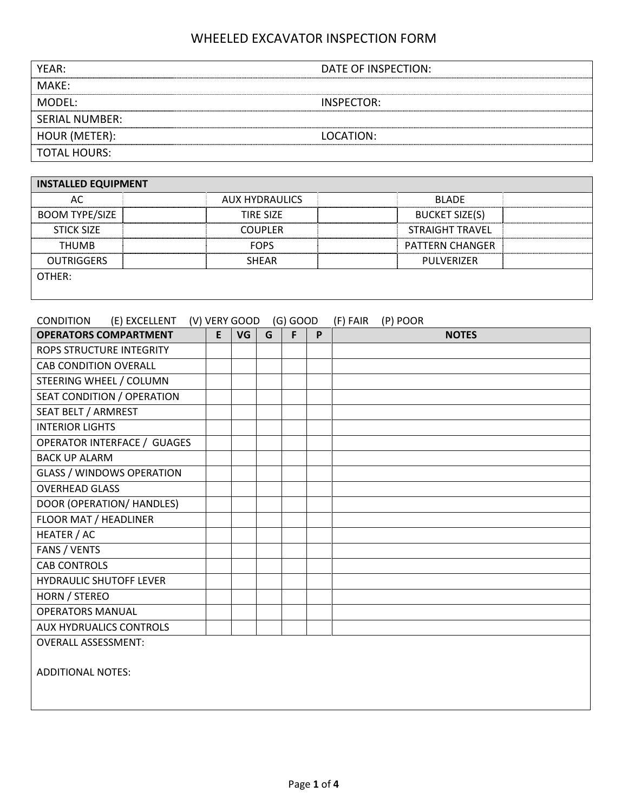| YFAR:                 | DATE OF INSPECTION: |
|-----------------------|---------------------|
| MAKE:                 |                     |
| MODEL:                | INSPECTOR:          |
| <b>SERIAL NUMBER:</b> |                     |
| HOUR (METER):         | LOCATION:           |
| <b>TOTAL HOURS:</b>   |                     |

| <b>INSTALLED EQUIPMENT</b> |                       |                        |  |  |  |  |  |  |  |
|----------------------------|-----------------------|------------------------|--|--|--|--|--|--|--|
| AC                         | <b>AUX HYDRAULICS</b> | <b>BLADE</b>           |  |  |  |  |  |  |  |
| <b>BOOM TYPE/SIZE</b>      | TIRF SIZF             | <b>BUCKET SIZE(S)</b>  |  |  |  |  |  |  |  |
| <b>STICK SIZE</b>          | <b>COUPLER</b>        | <b>STRAIGHT TRAVEL</b> |  |  |  |  |  |  |  |
| <b>THUMB</b>               | <b>FOPS</b>           | <b>PATTERN CHANGER</b> |  |  |  |  |  |  |  |
| <b>OUTRIGGERS</b>          | <b>SHEAR</b>          | PULVERIZER             |  |  |  |  |  |  |  |
| OTHER:                     |                       |                        |  |  |  |  |  |  |  |
|                            |                       |                        |  |  |  |  |  |  |  |

| (E) EXCELLENT<br><b>CONDITION</b>  |   | (V) VERY GOOD |   | $(G)$ GOOD |   | (P) POOR<br>(F) FAIR |
|------------------------------------|---|---------------|---|------------|---|----------------------|
| <b>OPERATORS COMPARTMENT</b>       | E | VG            | G | F          | P | <b>NOTES</b>         |
| ROPS STRUCTURE INTEGRITY           |   |               |   |            |   |                      |
| <b>CAB CONDITION OVERALL</b>       |   |               |   |            |   |                      |
| STEERING WHEEL / COLUMN            |   |               |   |            |   |                      |
| SEAT CONDITION / OPERATION         |   |               |   |            |   |                      |
| SEAT BELT / ARMREST                |   |               |   |            |   |                      |
| <b>INTERIOR LIGHTS</b>             |   |               |   |            |   |                      |
| <b>OPERATOR INTERFACE / GUAGES</b> |   |               |   |            |   |                      |
| <b>BACK UP ALARM</b>               |   |               |   |            |   |                      |
| <b>GLASS / WINDOWS OPERATION</b>   |   |               |   |            |   |                      |
| <b>OVERHEAD GLASS</b>              |   |               |   |            |   |                      |
| DOOR (OPERATION/ HANDLES)          |   |               |   |            |   |                      |
| FLOOR MAT / HEADLINER              |   |               |   |            |   |                      |
| HEATER / AC                        |   |               |   |            |   |                      |
| FANS / VENTS                       |   |               |   |            |   |                      |
| <b>CAB CONTROLS</b>                |   |               |   |            |   |                      |
| <b>HYDRAULIC SHUTOFF LEVER</b>     |   |               |   |            |   |                      |
| HORN / STEREO                      |   |               |   |            |   |                      |
| <b>OPERATORS MANUAL</b>            |   |               |   |            |   |                      |
| <b>AUX HYDRUALICS CONTROLS</b>     |   |               |   |            |   |                      |
| <b>OVERALL ASSESSMENT:</b>         |   |               |   |            |   |                      |
|                                    |   |               |   |            |   |                      |

ADDITIONAL NOTES: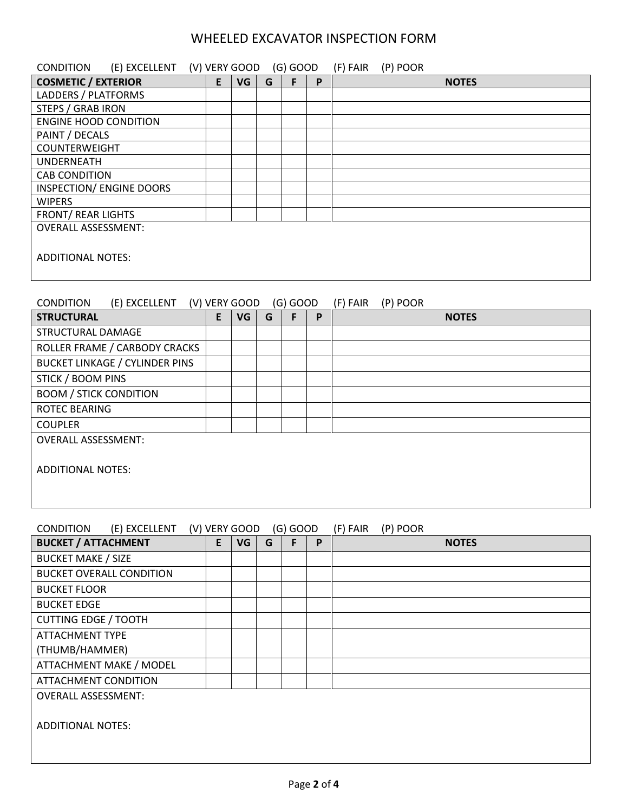| <b>CONDITION</b>             | (E) EXCELLENT (V) VERY GOOD |   |    |   | $(G)$ GOOD |   | (F) FAIR | (P) POOR |              |
|------------------------------|-----------------------------|---|----|---|------------|---|----------|----------|--------------|
| <b>COSMETIC / EXTERIOR</b>   |                             | E | VG | G |            | P |          |          | <b>NOTES</b> |
| LADDERS / PLATFORMS          |                             |   |    |   |            |   |          |          |              |
| <b>STEPS / GRAB IRON</b>     |                             |   |    |   |            |   |          |          |              |
| <b>ENGINE HOOD CONDITION</b> |                             |   |    |   |            |   |          |          |              |
| PAINT / DECALS               |                             |   |    |   |            |   |          |          |              |
| <b>COUNTERWEIGHT</b>         |                             |   |    |   |            |   |          |          |              |
| <b>UNDERNEATH</b>            |                             |   |    |   |            |   |          |          |              |
| <b>CAB CONDITION</b>         |                             |   |    |   |            |   |          |          |              |
| INSPECTION/ ENGINE DOORS     |                             |   |    |   |            |   |          |          |              |
| <b>WIPERS</b>                |                             |   |    |   |            |   |          |          |              |
| <b>FRONT/ REAR LIGHTS</b>    |                             |   |    |   |            |   |          |          |              |
| <b>OVERALL ASSESSMENT:</b>   |                             |   |    |   |            |   |          |          |              |
| <b>ADDITIONAL NOTES:</b>     |                             |   |    |   |            |   |          |          |              |

### CONDITION (E) EXCELLENT (V) VERY GOOD (G) GOOD (F) FAIR (P) POOR

| <b>STRUCTURAL</b>                     | E | VG | G | F | P | <b>NOTES</b> |
|---------------------------------------|---|----|---|---|---|--------------|
| STRUCTURAL DAMAGE                     |   |    |   |   |   |              |
| ROLLER FRAME / CARBODY CRACKS         |   |    |   |   |   |              |
| <b>BUCKET LINKAGE / CYLINDER PINS</b> |   |    |   |   |   |              |
| <b>STICK / BOOM PINS</b>              |   |    |   |   |   |              |
| <b>BOOM / STICK CONDITION</b>         |   |    |   |   |   |              |
| <b>ROTEC BEARING</b>                  |   |    |   |   |   |              |
| <b>COUPLER</b>                        |   |    |   |   |   |              |
| <b>OVERALL ASSESSMENT:</b>            |   |    |   |   |   |              |
| <b>ADDITIONAL NOTES:</b>              |   |    |   |   |   |              |
|                                       |   |    |   |   |   |              |

| (E) EXCELLENT<br><b>CONDITION</b> |    | (V) VERY GOOD |   | $(G)$ GOOD |   | (F) FAIR<br>(P) POOR |
|-----------------------------------|----|---------------|---|------------|---|----------------------|
| <b>BUCKET / ATTACHMENT</b>        | E. | VG            | G | F.         | P | <b>NOTES</b>         |
| <b>BUCKET MAKE / SIZE</b>         |    |               |   |            |   |                      |
| <b>BUCKET OVERALL CONDITION</b>   |    |               |   |            |   |                      |
| <b>BUCKET FLOOR</b>               |    |               |   |            |   |                      |
| <b>BUCKET EDGE</b>                |    |               |   |            |   |                      |
| <b>CUTTING EDGE / TOOTH</b>       |    |               |   |            |   |                      |
| <b>ATTACHMENT TYPE</b>            |    |               |   |            |   |                      |
| (THUMB/HAMMER)                    |    |               |   |            |   |                      |
| ATTACHMENT MAKE / MODEL           |    |               |   |            |   |                      |
| <b>ATTACHMENT CONDITION</b>       |    |               |   |            |   |                      |
| <b>OVERALL ASSESSMENT:</b>        |    |               |   |            |   |                      |
| <b>ADDITIONAL NOTES:</b>          |    |               |   |            |   |                      |
|                                   |    |               |   |            |   |                      |
|                                   |    |               |   |            |   |                      |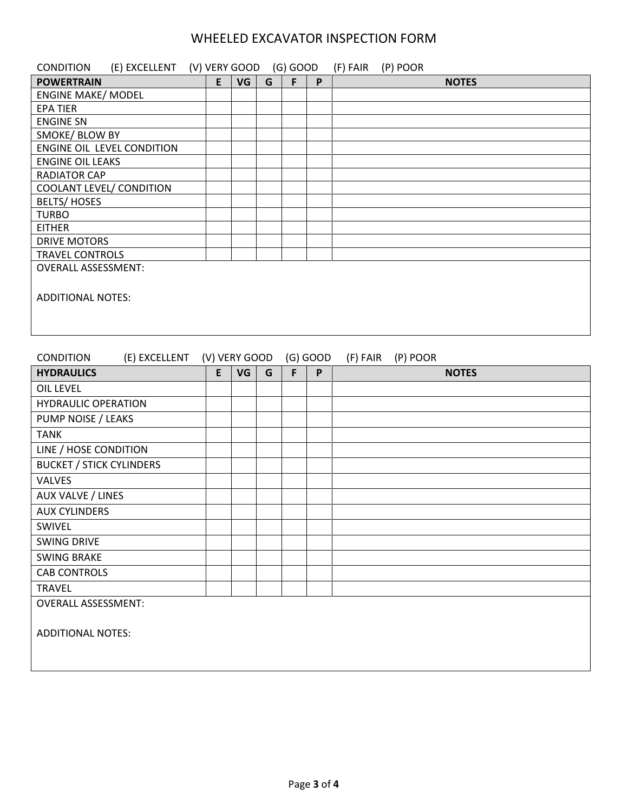| <b>CONDITION</b>           | (E) EXCELLENT (V) VERY GOOD |    |    |   | (G) GOOD |   | (F) FAIR | (P) POOR |              |
|----------------------------|-----------------------------|----|----|---|----------|---|----------|----------|--------------|
| <b>POWERTRAIN</b>          |                             | E. | VG | G | F.       | P |          |          | <b>NOTES</b> |
| <b>ENGINE MAKE/ MODEL</b>  |                             |    |    |   |          |   |          |          |              |
| <b>EPA TIER</b>            |                             |    |    |   |          |   |          |          |              |
| <b>ENGINE SN</b>           |                             |    |    |   |          |   |          |          |              |
| SMOKE/ BLOW BY             |                             |    |    |   |          |   |          |          |              |
| ENGINE OIL LEVEL CONDITION |                             |    |    |   |          |   |          |          |              |
| <b>ENGINE OIL LEAKS</b>    |                             |    |    |   |          |   |          |          |              |
| <b>RADIATOR CAP</b>        |                             |    |    |   |          |   |          |          |              |
| COOLANT LEVEL/ CONDITION   |                             |    |    |   |          |   |          |          |              |
| <b>BELTS/HOSES</b>         |                             |    |    |   |          |   |          |          |              |
| <b>TURBO</b>               |                             |    |    |   |          |   |          |          |              |
| <b>EITHER</b>              |                             |    |    |   |          |   |          |          |              |
| DRIVE MOTORS               |                             |    |    |   |          |   |          |          |              |
| <b>TRAVEL CONTROLS</b>     |                             |    |    |   |          |   |          |          |              |
| <b>OVERALL ASSESSMENT:</b> |                             |    |    |   |          |   |          |          |              |
| <b>ADDITIONAL NOTES:</b>   |                             |    |    |   |          |   |          |          |              |
|                            |                             |    |    |   |          |   |          |          |              |

| <b>CONDITION</b>                | (E) EXCELLENT (V) VERY GOOD |   |    |   |   | $(G)$ GOOD | (F) FAIR<br>(P) POOR |
|---------------------------------|-----------------------------|---|----|---|---|------------|----------------------|
| <b>HYDRAULICS</b>               |                             | E | VG | G | F | P          | <b>NOTES</b>         |
| <b>OIL LEVEL</b>                |                             |   |    |   |   |            |                      |
| <b>HYDRAULIC OPERATION</b>      |                             |   |    |   |   |            |                      |
| PUMP NOISE / LEAKS              |                             |   |    |   |   |            |                      |
| <b>TANK</b>                     |                             |   |    |   |   |            |                      |
| LINE / HOSE CONDITION           |                             |   |    |   |   |            |                      |
| <b>BUCKET / STICK CYLINDERS</b> |                             |   |    |   |   |            |                      |
| <b>VALVES</b>                   |                             |   |    |   |   |            |                      |
| AUX VALVE / LINES               |                             |   |    |   |   |            |                      |
| <b>AUX CYLINDERS</b>            |                             |   |    |   |   |            |                      |
| SWIVEL                          |                             |   |    |   |   |            |                      |
| <b>SWING DRIVE</b>              |                             |   |    |   |   |            |                      |
| <b>SWING BRAKE</b>              |                             |   |    |   |   |            |                      |
| <b>CAB CONTROLS</b>             |                             |   |    |   |   |            |                      |
| <b>TRAVEL</b>                   |                             |   |    |   |   |            |                      |
| <b>OVERALL ASSESSMENT:</b>      |                             |   |    |   |   |            |                      |
|                                 |                             |   |    |   |   |            |                      |
| <b>ADDITIONAL NOTES:</b>        |                             |   |    |   |   |            |                      |
|                                 |                             |   |    |   |   |            |                      |
|                                 |                             |   |    |   |   |            |                      |